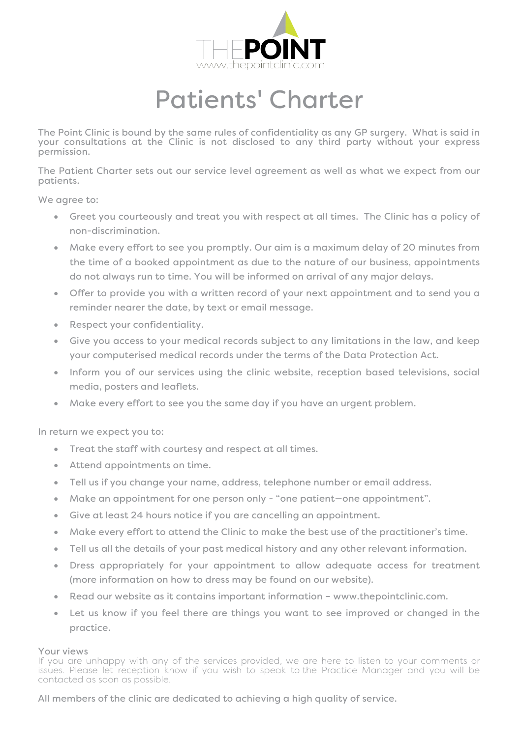

# Patients' Charter

The Point Clinic is bound by the same rules of confidentiality as any GP surgery. What is said in your consultations at the Clinic is not disclosed to any third party without your express permission.

The Patient Charter sets out our service level agreement as well as what we expect from our patients.

We agree to:

- Greet you courteously and treat you with respect at all times. The Clinic has a policy of non-discrimination.
- Make every effort to see you promptly. Our aim is a maximum delay of 20 minutes from the time of a booked appointment as due to the nature of our business, appointments do not always run to time. You will be informed on arrival of any major delays.
- Offer to provide you with a written record of your next appointment and to send you a reminder nearer the date, by text or email message.
- Respect your confidentiality.
- Give you access to your medical records subject to any limitations in the law, and keep your computerised medical records under the terms of the Data Protection Act.
- Inform you of our services using the clinic website, reception based televisions, social media, posters and leaflets.
- Make every effort to see you the same day if you have an urgent problem.

In return we expect you to:

- Treat the staff with courtesy and respect at all times.
- Attend appointments on time.
- Tell us if you change your name, address, telephone number or email address.
- Make an appointment for one person only "one patient-one appointment".
- Give at least 24 hours notice if you are cancelling an appointment.
- Make every effort to attend the Clinic to make the best use of the practitioner's time.
- Tell us all the details of your past medical history and any other relevant information.
- Dress appropriately for your appointment to allow adequate access for treatment (more information on how to dress may be found on our website).
- Read our website as it contains important information www.thepointclinic.com.
- Let us know if you feel there are things you want to see improved or changed in the practice.

#### Your views

If you are unhappy with any of the services provided, we are here to listen to your comments or issues. Please let reception know if you wish to speak to the Practice Manager and you will be contacted as soon as possible.

All members of the clinic are dedicated to achieving a high quality of service.